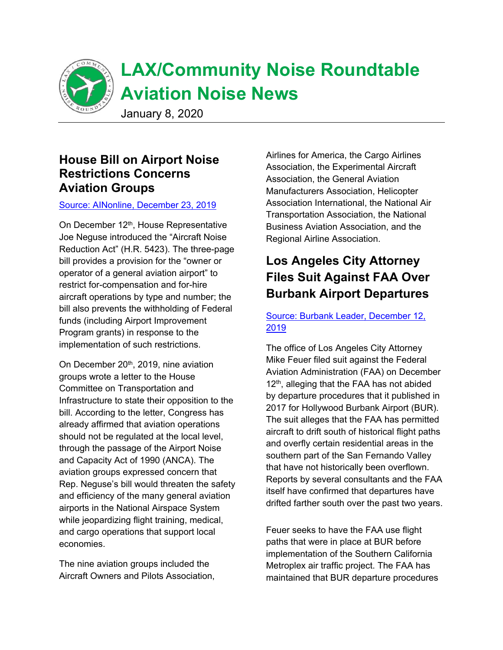

# **LAX/Community Noise Roundtable Aviation Noise News**

January 8, 2020

# **House Bill on Airport Noise Restrictions Concerns Aviation Groups**

#### [Source: AINonline, December 23, 2019](https://www.ainonline.com/aviation-news/business-aviation/2019-12-23/house-airports-bill-drawing-alarm-aviation-orgs)

On December 12<sup>th</sup>, House Representative Joe Neguse introduced the "Aircraft Noise Reduction Act" (H.R. 5423). The three-page bill provides a provision for the "owner or operator of a general aviation airport" to restrict for-compensation and for-hire aircraft operations by type and number; the bill also prevents the withholding of Federal funds (including Airport Improvement Program grants) in response to the implementation of such restrictions.

On December 20<sup>th</sup>, 2019, nine aviation groups wrote a letter to the House Committee on Transportation and Infrastructure to state their opposition to the bill. According to the letter, Congress has already affirmed that aviation operations should not be regulated at the local level, through the passage of the Airport Noise and Capacity Act of 1990 (ANCA). The aviation groups expressed concern that Rep. Neguse's bill would threaten the safety and efficiency of the many general aviation airports in the National Airspace System while jeopardizing flight training, medical, and cargo operations that support local economies.

The nine aviation groups included the Aircraft Owners and Pilots Association, Airlines for America, the Cargo Airlines Association, the Experimental Aircraft Association, the General Aviation Manufacturers Association, Helicopter Association International, the National Air Transportation Association, the National Business Aviation Association, and the Regional Airline Association.

# **Los Angeles City Attorney Files Suit Against FAA Over Burbank Airport Departures**

### [Source: Burbank Leader, December 12,](https://www.latimes.com/socal/burbank-leader/news/story/2019-12-12/l-a-city-atty-feuer-sues-faa-over-airplane-noise-in-south-san-fernando-valley)  [2019](https://www.latimes.com/socal/burbank-leader/news/story/2019-12-12/l-a-city-atty-feuer-sues-faa-over-airplane-noise-in-south-san-fernando-valley)

The office of Los Angeles City Attorney Mike Feuer filed suit against the Federal Aviation Administration (FAA) on December 12<sup>th</sup>, alleging that the FAA has not abided by departure procedures that it published in 2017 for Hollywood Burbank Airport (BUR). The suit alleges that the FAA has permitted aircraft to drift south of historical flight paths and overfly certain residential areas in the southern part of the San Fernando Valley that have not historically been overflown. Reports by several consultants and the FAA itself have confirmed that departures have drifted farther south over the past two years.

Feuer seeks to have the FAA use flight paths that were in place at BUR before implementation of the Southern California Metroplex air traffic project. The FAA has maintained that BUR departure procedures